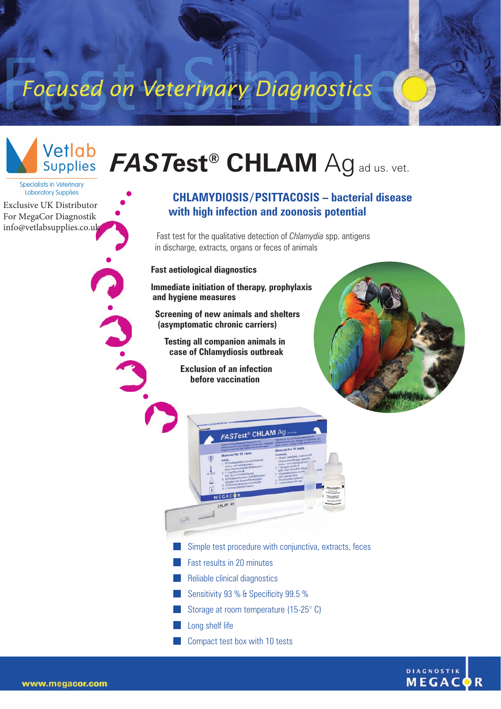## Focused on Veterinary Diagnostics



## $\bm{FASTest}^{\circledast}$  CHLAM  $\bm{\mathsf{Ag}}$  ad us. vet.

**Specialists in Veterinary** Laboratory Supplies

Exclusive UK Distributor For MegaCor Diagnostik [info@vetlabsupplies.co.uk](https://vetlabsupplies.co.uk/about/contact-us/)

## **CHLAMYDIOSIS / PSITTACOSIS – bacterial disease with high infection and zoonosis potential**

Fast test for the qualitative detection of *Chlamydia* spp. antigens in discharge, extracts, organs or feces of animals

**Fast aetiological diagnostics**

**Immediate initiation of therapy, prophylaxis and hygiene measures**

**Screening of new animals and shelters (asymptomatic chronic carriers)**

**Testing all companion animals in case of Chlamydiosis outbreak**

> **Exclusion of an infection before vaccination**





- Simple test procedure with conjunctiva, extracts, feces
- Fast results in 20 minutes
- Reliable clinical diagnostics
- Sensitivity 93 %  $\frac{1}{2}$  Specificity 99.5 %
- Storage at room temperature (15-25° C)
- **Long shelf life**
- **Compact test box with 10 tests**